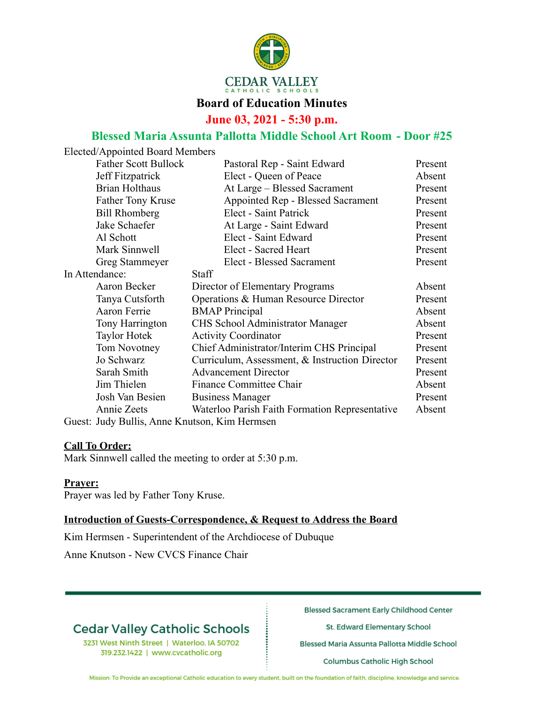

#### **Board of Education Minutes**

**June 03, 2021 - 5:30 p.m.**

### **Blessed Maria Assunta Pallotta Middle School Art Room - Door #25**

| Elected/Appointed Board Members               |                                                |         |
|-----------------------------------------------|------------------------------------------------|---------|
| <b>Father Scott Bullock</b>                   | Pastoral Rep - Saint Edward                    | Present |
| Jeff Fitzpatrick                              | Elect - Queen of Peace                         | Absent  |
| <b>Brian Holthaus</b>                         | At Large - Blessed Sacrament                   | Present |
| <b>Father Tony Kruse</b>                      | Appointed Rep - Blessed Sacrament              | Present |
| <b>Bill Rhomberg</b>                          | Elect - Saint Patrick                          | Present |
| Jake Schaefer                                 | At Large - Saint Edward                        | Present |
| Al Schott                                     | Elect - Saint Edward                           | Present |
| Mark Sinnwell                                 | Elect - Sacred Heart                           | Present |
| Greg Stammeyer                                | Elect - Blessed Sacrament                      | Present |
| In Attendance:                                | <b>Staff</b>                                   |         |
| Aaron Becker                                  | Director of Elementary Programs                | Absent  |
| Tanya Cutsforth                               | Operations & Human Resource Director           | Present |
| Aaron Ferrie                                  | <b>BMAP</b> Principal                          | Absent  |
| Tony Harrington                               | CHS School Administrator Manager               | Absent  |
| <b>Taylor Hotek</b>                           | <b>Activity Coordinator</b>                    | Present |
| Tom Novotney                                  | Chief Administrator/Interim CHS Principal      | Present |
| Jo Schwarz                                    | Curriculum, Assessment, & Instruction Director | Present |
| Sarah Smith                                   | <b>Advancement Director</b>                    | Present |
| Jim Thielen                                   | Finance Committee Chair                        | Absent  |
| Josh Van Besien                               | <b>Business Manager</b>                        | Present |
| Annie Zeets                                   | Waterloo Parish Faith Formation Representative | Absent  |
| Guest: Judy Bullis, Anne Knutson, Kim Hermsen |                                                |         |

#### **Call To Order:**

Mark Sinnwell called the meeting to order at 5:30 p.m.

#### **Prayer:**

Prayer was led by Father Tony Kruse.

 $E = \frac{1}{2}$ 

#### **Introduction of Guests-Correspondence, & Request to Address the Board**

Kim Hermsen - Superintendent of the Archdiocese of Dubuque

Anne Knutson - New CVCS Finance Chair

## **Cedar Valley Catholic Schools**

3231 West Ninth Street | Waterloo, IA 50702 319.232.1422 | www.cvcatholic.org

**Blessed Sacrament Early Childhood Center** 

St. Edward Elementary School

Blessed Maria Assunta Pallotta Middle School

Columbus Catholic High School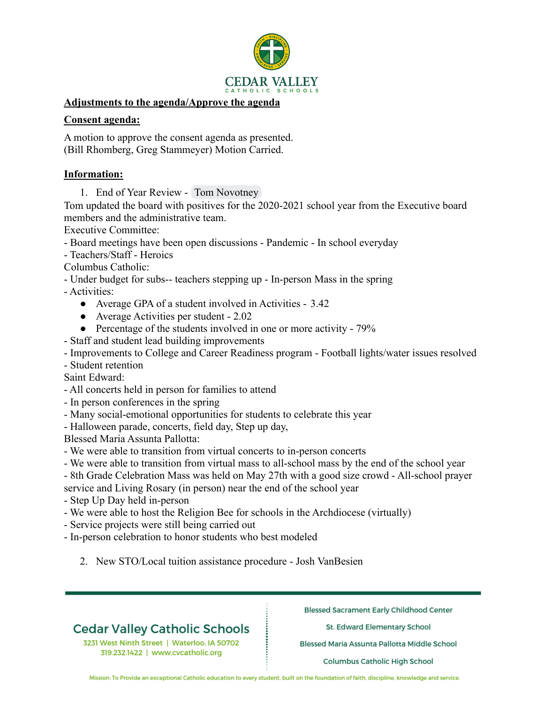

#### **Adjustments to the agenda/Approve the agenda**

#### **Consent agenda:**

A motion to approve the consent agenda as presented. (Bill Rhomberg, Greg Stammeyer) Motion Carried.

#### **Information:**

1. End of Year Review - Tom Novotney

Tom updated the board with positives for the 2020-2021 school year from the Executive board members and the administrative team.

Executive Committee:

- Board meetings have been open discussions Pandemic In school everyday
- Teachers/Staff Heroics

Columbus Catholic:

- Under budget for subs-- teachers stepping up - In-person Mass in the spring

- Activities:

- Average GPA of a student involved in Activities 3.42
- Average Activities per student 2.02
- Percentage of the students involved in one or more activity 79%
- Staff and student lead building improvements
- Improvements to College and Career Readiness program Football lights/water issues resolved

- Student retention

Saint Edward:

- All concerts held in person for families to attend
- In person conferences in the spring
- Many social-emotional opportunities for students to celebrate this year

- Halloween parade, concerts, field day, Step up day,

Blessed Maria Assunta Pallotta:

- We were able to transition from virtual concerts to in-person concerts
- We were able to transition from virtual mass to all-school mass by the end of the school year
- 8th Grade Celebration Mass was held on May 27th with a good size crowd All-school prayer

service and Living Rosary (in person) near the end of the school year

- Step Up Day held in-person

- We were able to host the Religion Bee for schools in the Archdiocese (virtually)
- Service projects were still being carried out
- In-person celebration to honor students who best modeled
	- 2. New STO/Local tuition assistance procedure Josh VanBesien

## **Cedar Valley Catholic Schools**

3231 West Ninth Street | Waterloo, IA 50702 319.232.1422 | www.cvcatholic.org

**Blessed Sacrament Early Childhood Center** 

St. Edward Elementary School

Blessed Maria Assunta Pallotta Middle School

Columbus Catholic High School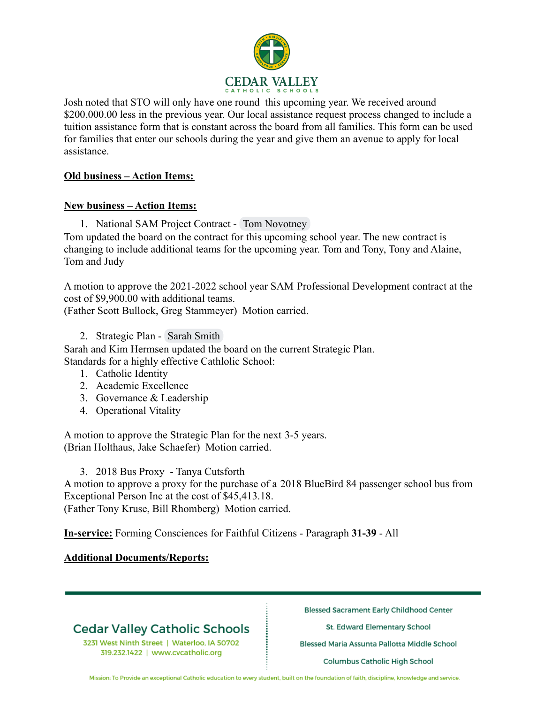

Josh noted that STO will only have one round this upcoming year. We received around \$200,000.00 less in the previous year. Our local assistance request process changed to include a tuition assistance form that is constant across the board from all families. This form can be used for families that enter our schools during the year and give them an avenue to apply for local assistance.

#### **Old business – Action Items:**

#### **New business – Action Items:**

1. National SAM Project Contract - Tom Novotney

Tom updated the board on the contract for this upcoming school year. The new contract is changing to include additional teams for the upcoming year. Tom and Tony, Tony and Alaine, Tom and Judy

A motion to approve the 2021-2022 school year SAM Professional Development contract at the cost of \$9,900.00 with additional teams. (Father Scott Bullock, Greg Stammeyer) Motion carried.

2. Strategic Plan - Sarah Smith

Sarah and Kim Hermsen updated the board on the current Strategic Plan. Standards for a highly effective Cathlolic School:

- 1. Catholic Identity
- 2. Academic Excellence
- 3. Governance & Leadership
- 4. Operational Vitality

A motion to approve the Strategic Plan for the next 3-5 years. (Brian Holthaus, Jake Schaefer) Motion carried.

3. 2018 Bus Proxy - Tanya Cutsforth

A motion to approve a proxy for the purchase of a 2018 BlueBird 84 passenger school bus from Exceptional Person Inc at the cost of \$45,413.18. (Father Tony Kruse, Bill Rhomberg) Motion carried.

**In-service:** Forming Consciences for Faithful Citizens - Paragraph **31-39** - All

### **Additional Documents/Reports:**

# **Cedar Valley Catholic Schools**

3231 West Ninth Street | Waterloo, IA 50702 319.232.1422 | www.cvcatholic.org

**Blessed Sacrament Early Childhood Center** 

St. Edward Elementary School

Blessed Maria Assunta Pallotta Middle School

Columbus Catholic High School